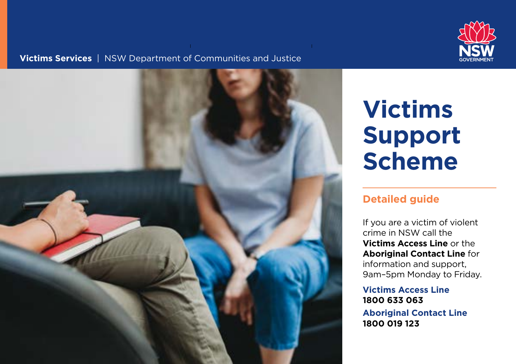

### **Victims Services** | NSW Department of Communities and Justice



# **Victims Support Scheme**

### **Detailed guide**

If you are a victim of violent crime in NSW call the **Victims Access Line** or the **Aboriginal Contact Line** for information and support, 9am–5pm Monday to Friday.

### **Victims Access Line 1800 633 063**

**Aboriginal Contact Line 1800 019 123**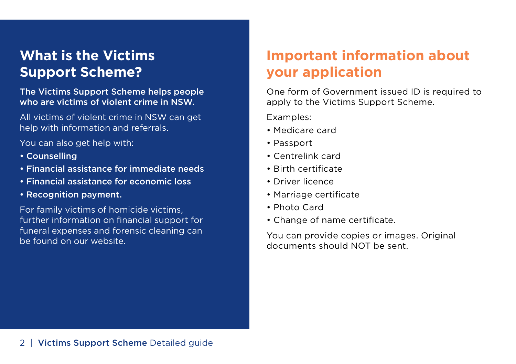### **What is the Victims Support Scheme?**

The Victims Support Scheme helps people who are victims of violent crime in NSW.

All victims of violent crime in NSW can get help with information and referrals.

You can also get help with:

- Counselling
- Financial assistance for immediate needs
- Financial assistance for economic loss
- Recognition payment.

For family victims of homicide victims, further information on financial support for funeral expenses and forensic cleaning can be found on our website.

## **Important information about your application**

One form of Government issued ID is required to apply to the Victims Support Scheme.

Examples:

- Medicare card
- Passport
- Centrelink card
- Birth certificate
- Driver licence
- Marriage certificate
- Photo Card
- Change of name certificate.

You can provide copies or images. Original documents should NOT be sent.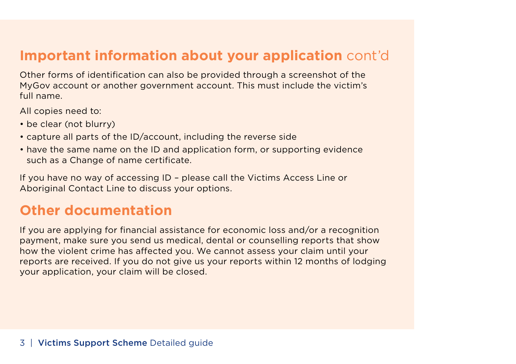### **Important information about your application** cont'd

Other forms of identifcation can also be provided through a screenshot of the MyGov account or another government account. This must include the victim's full name.

All copies need to:

- be clear (not blurry)
- capture all parts of the ID/account, including the reverse side
- have the same name on the ID and application form, or supporting evidence such as a Change of name certificate.

If you have no way of accessing ID – please call the Victims Access Line or Aboriginal Contact Line to discuss your options.

### **Other documentation**

If you are applying for fnancial assistance for economic loss and/or a recognition payment, make sure you send us medical, dental or counselling reports that show how the violent crime has afected you. We cannot assess your claim until your reports are received. If you do not give us your reports within 12 months of lodging your application, your claim will be closed.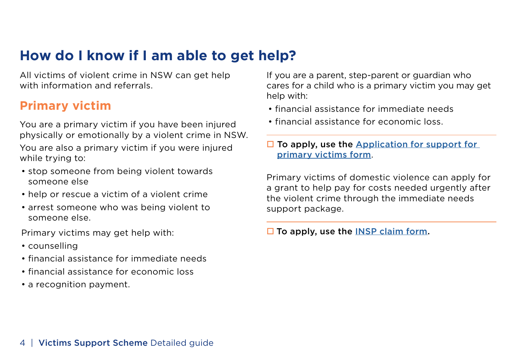### **How do I know if I am able to get help?**

All victims of violent crime in NSW can get help with information and referrals.

### **Primary victim**

You are a primary victim if you have been injured physically or emotionally by a violent crime in NSW. You are also a primary victim if you were injured while trying to:

- stop someone from being violent towards someone else
- help or rescue a victim of a violent crime
- arrest someone who was being violent to someone else.

Primary victims may get help with:

- counselling
- financial assistance for immediate needs
- financial assistance for economic loss
- a recognition payment.

If you are a parent, step-parent or guardian who cares for a child who is a primary victim you may get help with:

- financial assistance for immediate needs
- financial assistance for economic loss.

 $\Box$  To apply, use the [Application for support for](https://vsconnect.force.com/vsapplications/s/primary-victim-claim) [primary victims form](https://vsconnect.force.com/vsapplications/s/primary-victim-claim).

Primary victims of domestic violence can apply for a grant to help pay for costs needed urgently after the violent crime through the immediate needs support package.

 $\square$  To apply, use the [INSP claim form](https://www.victimsservices.justice.nsw.gov.au/content/dam/dcj/victimsservices/documents/how-can-we-help-you/victims-support-scheme/vss-overview/INSP-claim-form.pdf).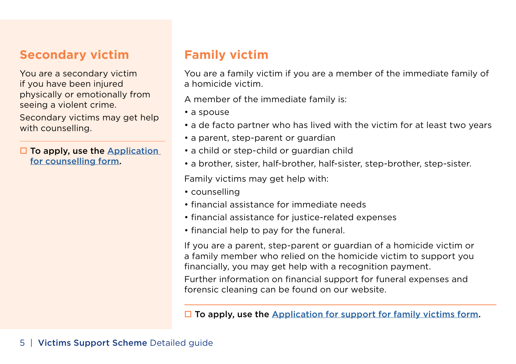### **Secondary victim**

You are a secondary victim if you have been injured physically or emotionally from seeing a violent crime.

Secondary victims may get help with counselling.

 $\Box$  To apply, use the [Application](https://vsconnect.force.com/vsapplications/s/claim-counselling-only) [for counselling form.](https://vsconnect.force.com/vsapplications/s/claim-counselling-only)

### **Family victim**

You are a family victim if you are a member of the immediate family of a homicide victim.

A member of the immediate family is:

- a spouse
- a de facto partner who has lived with the victim for at least two years
- a parent, step-parent or guardian
- a child or step-child or guardian child
- a brother, sister, half-brother, half-sister, step-brother, step-sister.

Family victims may get help with:

- counselling
- financial assistance for immediate needs
- financial assistance for justice-related expenses
- financial help to pay for the funeral.

If you are a parent, step-parent or guardian of a homicide victim or a family member who relied on the homicide victim to support you fnancially, you may get help with a recognition payment.

Further information on fnancial support for funeral expenses and forensic cleaning can be found on our website.

 $\Box$  To apply, use the [Application for support for family victims form.](https://vsconnect.force.com/vsapplications/s/family-victim-application)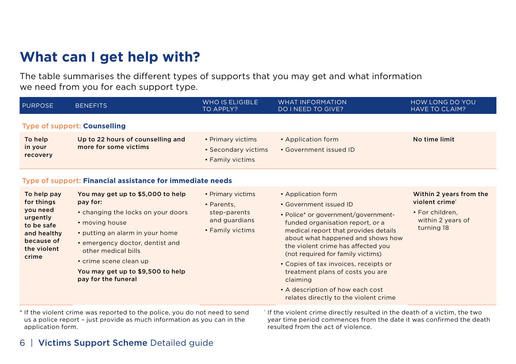### **What can I get help with?**

The table summarises the diferent types of supports that you may get and what information we need from you for each support type.

| <b>PURPOSE</b>                                                                                                       | <b>BENEFITS</b>                                                                                                                                                                                                                                                                          | <b>WHO IS ELIGIBLE</b><br>TO APPLY?                                                  | <b>WHAT INFORMATION</b><br><b>DO I NEED TO GIVE?</b>                                                                                                                                                                                                                                                                                                                                                                                                  | HOW LONG DO YOU<br><b>HAVE TO CLAIM?</b>                                                                    |  |  |
|----------------------------------------------------------------------------------------------------------------------|------------------------------------------------------------------------------------------------------------------------------------------------------------------------------------------------------------------------------------------------------------------------------------------|--------------------------------------------------------------------------------------|-------------------------------------------------------------------------------------------------------------------------------------------------------------------------------------------------------------------------------------------------------------------------------------------------------------------------------------------------------------------------------------------------------------------------------------------------------|-------------------------------------------------------------------------------------------------------------|--|--|
|                                                                                                                      | Type of support: Counselling                                                                                                                                                                                                                                                             |                                                                                      |                                                                                                                                                                                                                                                                                                                                                                                                                                                       |                                                                                                             |  |  |
| To help<br>in your<br>recovery                                                                                       | Up to 22 hours of counselling and<br>more for some victims                                                                                                                                                                                                                               | • Primary victims<br>• Secondary victims<br>• Family victims                         | • Application form<br>• Government issued ID                                                                                                                                                                                                                                                                                                                                                                                                          | No time limit                                                                                               |  |  |
| Type of support: Financial assistance for immediate needs                                                            |                                                                                                                                                                                                                                                                                          |                                                                                      |                                                                                                                                                                                                                                                                                                                                                                                                                                                       |                                                                                                             |  |  |
| To help pay<br>for things<br>you need<br>urgently<br>to be safe<br>and healthy<br>because of<br>the violent<br>crime | You may get up to \$5,000 to help<br>pay for:<br>• changing the locks on your doors<br>• moving house<br>• putting an alarm in your home<br>• emergency doctor, dentist and<br>other medical bills<br>• crime scene clean up<br>You may get up to \$9,500 to help<br>pay for the funeral | • Primary victims<br>• Parents.<br>step-parents<br>and guardians<br>• Family victims | • Application form<br>• Government issued ID<br>• Police* or government/government-<br>funded organisation report, or a<br>medical report that provides details<br>about what happened and shows how<br>the violent crime has affected you<br>(not required for family victims)<br>• Copies of tax invoices, receipts or<br>treatment plans of costs you are<br>claiming<br>• A description of how each cost<br>relates directly to the violent crime | Within 2 years from the<br>violent crime <sup>®</sup><br>• For children,<br>within 2 years of<br>turning 18 |  |  |

\* If the violent crime was reported to the police, you do not need to send † If the violent crime directly resulted in the death of a victim, the two us a police report - just provide as much information as you can in the year time period commences from the date it was confirmed the death application form.

resulted from the act of violence.

### 6 | Victims Support Scheme Detailed guide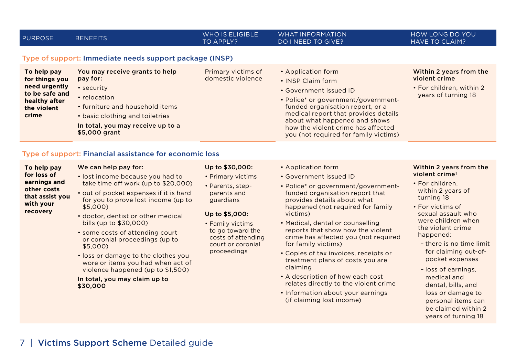| <b>PURPOSE</b>                                                                                            | <b>BENEFITS</b>                                                                                                                                                                                                                                                 | <b>WHO IS ELIGIBLE</b><br>TO APPLY?                     | <b>WHAT INFORMATION</b><br><b>DO I NEED TO GIVE?</b>                                                                                                                                                                                                                                                 | HOW LONG DO YOU<br><b>HAVE TO CLAIM?</b>                                                    |  |
|-----------------------------------------------------------------------------------------------------------|-----------------------------------------------------------------------------------------------------------------------------------------------------------------------------------------------------------------------------------------------------------------|---------------------------------------------------------|------------------------------------------------------------------------------------------------------------------------------------------------------------------------------------------------------------------------------------------------------------------------------------------------------|---------------------------------------------------------------------------------------------|--|
| To help pay<br>for things you<br>need urgently<br>to be safe and<br>healthy after<br>the violent<br>crime | Type of support: Immediate needs support package (INSP)<br>You may receive grants to help<br>pay for:<br>• security<br>• relocation<br>• furniture and household items<br>• basic clothing and toiletries<br>In total, you may receive up to a<br>\$5,000 grant | Primary victims of<br>domestic violence                 | • Application form<br>• INSP Claim form<br>• Government issued ID<br>• Police* or government/government-<br>funded organisation report, or a<br>medical report that provides details<br>about what happened and shows<br>how the violent crime has affected<br>you (not required for family victims) | Within 2 years from the<br>violent crime<br>• For children, within 2<br>years of turning 18 |  |
| Type of support: Financial assistance for economic loss                                                   |                                                                                                                                                                                                                                                                 |                                                         |                                                                                                                                                                                                                                                                                                      |                                                                                             |  |
| To help pay<br>for loss of<br>earnings and                                                                | We can help pay for:<br>• lost income because you had to<br>take time off work (up to \$20,000)                                                                                                                                                                 | Up to \$30,000:<br>• Primary victims<br>• Paronts ston- | • Application form<br>• Government issued ID<br>• Police* or government/government-                                                                                                                                                                                                                  | Within 2 years from the<br>violent crime <sup>+</sup><br>• For children,                    |  |

- **other costs that assist you with your recovery**
- out of pocket expenses if it is hard for you to prove lost income (up to \$5,000)
- doctor, dentist or other medical bills (up to \$30,000)
- some costs of attending court or coronial proceedings (up to \$5,000)
- loss or damage to the clothes you wore or items you had when act of violence happened (up to \$1,500)

#### In total, you may claim up to \$30,000

• Parents, stepparents and guardians

#### Up to \$5,000:

- Family victims to go toward the costs of attending court or coronial proceedings
- or government/governmentfunded organisation report that provides details about what happened (not required for family victims)
- Medical, dental or counselling reports that show how the violent crime has afected you (not required for family victims)
- Copies of tax invoices, receipts or treatment plans of costs you are claiming
- A description of how each cost relates directly to the violent crime
- Information about your earnings (if claiming lost income)
- For children, within 2 years of turning 18
- For victims of sexual assault who were children when the violent crime happened:
	- there is no time limit for claiming out-ofpocket expenses
	- loss of earnings, medical and dental, bills, and loss or damage to personal items can be claimed within 2 years of turning 18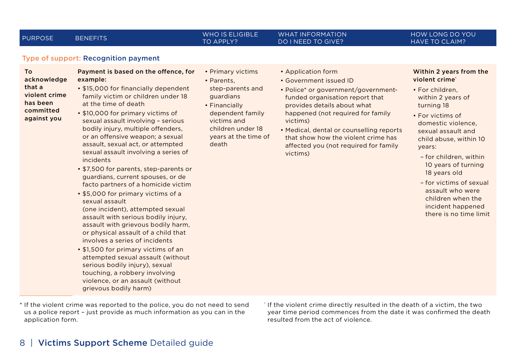#### PURPOSE BENEFITS WHO IS ELIGIBLE TO APPLY?

• Primary victims • Parents,

death

step-parents and guardians • Financially dependent family victims and children under 18 years at the time of

#### WHAT INFORMATION DO I NEED TO GIVE?

#### HOW LONG DO YOU HAVE TO CLAIM?

#### Type of support: Recognition payment

To

acknowledge that a violent crime has been committed against you

#### Payment is based on the offence, for example:

• \$15,000 for fnancially dependent family victim or children under 18 at the time of death

- \$10,000 for primary victims of sexual assault involving – serious bodily injury, multiple offenders, or an offensive weapon; a sexual assault, sexual act, or attempted sexual assault involving a series of incidents
- \$7,500 for parents, step-parents or guardians, current spouses, or de facto partners of a homicide victim
- \$5,000 for primary victims of a sexual assault (one incident), attempted sexual assault with serious bodily injury, assault with grievous bodily harm, or physical assault of a child that involves a series of incidents
- \$1,500 for primary victims of an attempted sexual assault (without serious bodily injury), sexual touching, a robbery involving violence, or an assault (without grievous bodily harm)
- \* If the violent crime was reported to the police, you do not need to send † If the violent crime directly resulted in the death of a victim, the two us a police report – just provide as much information as you can in the application form.
- year time period commences from the date it was confrmed the death resulted from the act of violence.
- Application form
- Government issued ID
- Police\* or government/governmentfunded organisation report that provides details about what happened (not required for family victims)
- Medical, dental or counselling reports that show how the violent crime has afected you (not required for family victims)

#### Within 2 years from the violent crime†

- For children, within 2 years of turning 18
- For victims of domestic violence, sexual assault and child abuse, within 10 years:
	- for children, within 10 years of turning 18 years old
	- for victims of sexual assault who were children when the incident happened there is no time limit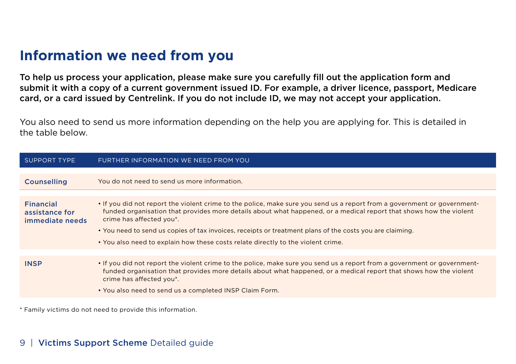### **Information we need from you**

To help us process your application, please make sure you carefully fll out the application form and submit it with a copy of a current government issued ID. For example, a driver licence, passport, Medicare card, or a card issued by Centrelink. If you do not include ID, we may not accept your application.

You also need to send us more information depending on the help you are applying for. This is detailed in the table below.

| FURTHER INFORMATION WE NEED FROM YOU                                                                                                                                                                                                                                                                                                                                                                                                                                       |
|----------------------------------------------------------------------------------------------------------------------------------------------------------------------------------------------------------------------------------------------------------------------------------------------------------------------------------------------------------------------------------------------------------------------------------------------------------------------------|
| You do not need to send us more information.                                                                                                                                                                                                                                                                                                                                                                                                                               |
| • If you did not report the violent crime to the police, make sure you send us a report from a government or government-<br>funded organisation that provides more details about what happened, or a medical report that shows how the violent<br>crime has affected you*.<br>• You need to send us copies of tax invoices, receipts or treatment plans of the costs you are claiming.<br>. You also need to explain how these costs relate directly to the violent crime. |
|                                                                                                                                                                                                                                                                                                                                                                                                                                                                            |
| • If you did not report the violent crime to the police, make sure you send us a report from a government or government-<br>funded organisation that provides more details about what happened, or a medical report that shows how the violent<br>crime has affected you*.<br>. You also need to send us a completed INSP Claim Form.                                                                                                                                      |
|                                                                                                                                                                                                                                                                                                                                                                                                                                                                            |

\* Family victims do not need to provide this information.

### 9 | Victims Support Scheme Detailed quide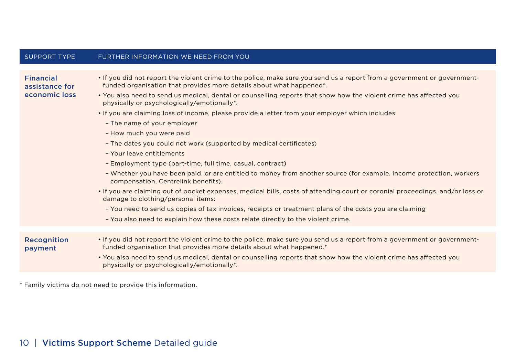| <b>SUPPORT TYPE</b>                                 | FURTHER INFORMATION WE NEED FROM YOU                                                                                                                                                                          |
|-----------------------------------------------------|---------------------------------------------------------------------------------------------------------------------------------------------------------------------------------------------------------------|
|                                                     |                                                                                                                                                                                                               |
| <b>Financial</b><br>assistance for<br>economic loss | • If you did not report the violent crime to the police, make sure you send us a report from a government or government-<br>funded organisation that provides more details about what happened <sup>*</sup> . |
|                                                     | . You also need to send us medical, dental or counselling reports that show how the violent crime has affected you<br>physically or psychologically/emotionally*.                                             |
|                                                     | . If you are claiming loss of income, please provide a letter from your employer which includes:                                                                                                              |
|                                                     | - The name of your employer                                                                                                                                                                                   |
|                                                     | - How much you were paid                                                                                                                                                                                      |
|                                                     | - The dates you could not work (supported by medical certificates)                                                                                                                                            |
|                                                     | - Your leave entitlements                                                                                                                                                                                     |
|                                                     | - Employment type (part-time, full time, casual, contract)                                                                                                                                                    |
|                                                     | - Whether you have been paid, or are entitled to money from another source (for example, income protection, workers<br>compensation, Centrelink benefits).                                                    |
|                                                     | • If you are claiming out of pocket expenses, medical bills, costs of attending court or coronial proceedings, and/or loss or<br>damage to clothing/personal items:                                           |
|                                                     | - You need to send us copies of tax invoices, receipts or treatment plans of the costs you are claiming                                                                                                       |
|                                                     | - You also need to explain how these costs relate directly to the violent crime.                                                                                                                              |
|                                                     |                                                                                                                                                                                                               |
| Recognition<br>payment                              | • If you did not report the violent crime to the police, make sure you send us a report from a government or government-<br>funded organisation that provides more details about what happened.*              |
|                                                     | . You also need to send us medical, dental or counselling reports that show how the violent crime has affected you<br>physically or psychologically/emotionally*.                                             |
|                                                     |                                                                                                                                                                                                               |

\* Family victims do not need to provide this information.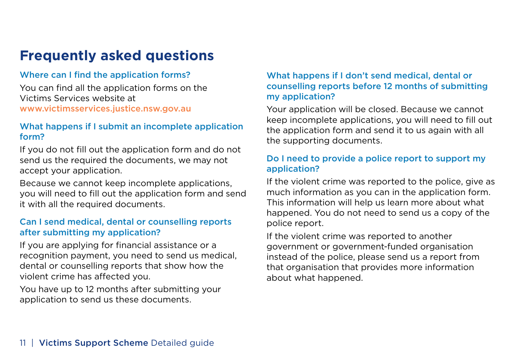### **Frequently asked questions**

### Where can I find the application forms?

You can find all the application forms on the Victims Services website at [www.victimsservices.justice.nsw.gov.au](https://www.victimsservices.justice.nsw.gov.au) 

### What happens if I submit an incomplete application form?

If you do not fill out the application form and do not send us the required the documents, we may not accept your application.

Because we cannot keep incomplete applications, you will need to fill out the application form and send it with all the required documents.

### Can I send medical, dental or counselling reports after submitting my application?

If you are applying for financial assistance or a recognition payment, you need to send us medical, dental or counselling reports that show how the violent crime has afected you.

You have up to 12 months after submitting your application to send us these documents.

### What happens if I don't send medical, dental or counselling reports before 12 months of submitting my application?

Your application will be closed. Because we cannot keep incomplete applications, you will need to fill out the application form and send it to us again with all the supporting documents.

### Do I need to provide a police report to support my application?

If the violent crime was reported to the police, give as much information as you can in the application form. This information will help us learn more about what happened. You do not need to send us a copy of the police report.

If the violent crime was reported to another government or government-funded organisation instead of the police, please send us a report from that organisation that provides more information about what happened.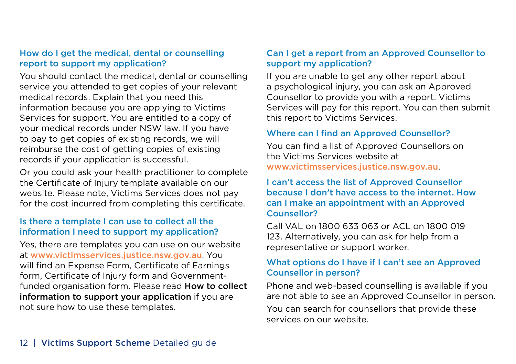### How do I get the medical, dental or counselling report to support my application?

You should contact the medical, dental or counselling service you attended to get copies of your relevant medical records. Explain that you need this information because you are applying to Victims Services for support. You are entitled to a copy of your medical records under NSW law. If you have to pay to get copies of existing records, we will reimburse the cost of getting copies of existing records if your application is successful.

Or you could ask your health practitioner to complete the Certifcate of Injury template available on our website. Please note, Victims Services does not pay for the cost incurred from completing this certificate.

### Is there a template I can use to collect all the information I need to support my application?

Yes, there are templates you can use on our website at [www.victimsservices.justice.nsw.gov.au](https://www.victimsservices.justice.nsw.gov.au). You will find an Expense Form, Certificate of Earnings form, Certificate of Injury form and Governmentfunded organisation form. Please read How to collect information to support your application if you are not sure how to use these templates.

### Can I get a report from an Approved Counsellor to support my application?

If you are unable to get any other report about a psychological injury, you can ask an Approved Counsellor to provide you with a report. Victims Services will pay for this report. You can then submit this report to Victims Services.

### Where can I find an Approved Counsellor?

You can find a list of Approved Counsellors on the Victims Services website at [www.victimsservices.justice.nsw.gov.au](https://www.victimsservices.justice.nsw.gov.au).

### I can't access the list of Approved Counsellor because I don't have access to the internet. How can I make an appointment with an Approved Counsellor?

Call VAL on 1800 633 063 or ACL on 1800 019 123. Alternatively, you can ask for help from a representative or support worker.

### What options do I have if I can't see an Approved Counsellor in person?

Phone and web-based counselling is available if you are not able to see an Approved Counsellor in person. You can search for counsellors that provide these services on our website.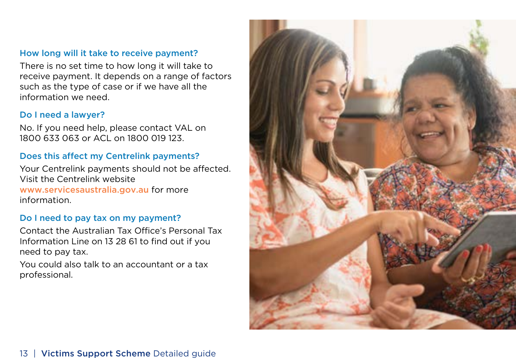### How long will it take to receive payment?

There is no set time to how long it will take to receive payment. It depends on a range of factors such as the type of case or if we have all the information we need.

### Do I need a lawyer?

No. If you need help, please contact VAL on 1800 633 063 or ACL on 1800 019 123.

### Does this affect my Centrelink payments?

Your Centrelink payments should not be affected. Visit the Centrelink website [www.services](https://www.servicesaustralia.gov.au/)australia.gov.au for more information.

### Do I need to pay tax on my payment?

Contact the Australian Tax Office's Personal Tax Information Line on 13 28 61 to find out if you need to pay tax.

You could also talk to an accountant or a tax professional.